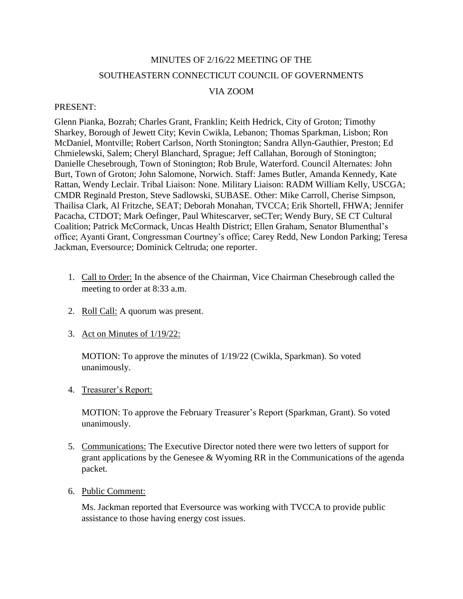# MINUTES OF 2/16/22 MEETING OF THE SOUTHEASTERN CONNECTICUT COUNCIL OF GOVERNMENTS

## VIA ZOOM

#### PRESENT:

Glenn Pianka, Bozrah; Charles Grant, Franklin; Keith Hedrick, City of Groton; Timothy Sharkey, Borough of Jewett City; Kevin Cwikla, Lebanon; Thomas Sparkman, Lisbon; Ron McDaniel, Montville; Robert Carlson, North Stonington; Sandra Allyn-Gauthier, Preston; Ed Chmielewski, Salem; Cheryl Blanchard, Sprague; Jeff Callahan, Borough of Stonington; Danielle Chesebrough, Town of Stonington; Rob Brule, Waterford. Council Alternates: John Burt, Town of Groton; John Salomone, Norwich. Staff: James Butler, Amanda Kennedy, Kate Rattan, Wendy Leclair. Tribal Liaison: None. Military Liaison: RADM William Kelly, USCGA; CMDR Reginald Preston, Steve Sadlowski, SUBASE. Other: Mike Carroll, Cherise Simpson, Thailisa Clark, Al Fritzche, SEAT; Deborah Monahan, TVCCA; Erik Shortell, FHWA; Jennifer Pacacha, CTDOT; Mark Oefinger, Paul Whitescarver, seCTer; Wendy Bury, SE CT Cultural Coalition; Patrick McCormack, Uncas Health District; Ellen Graham, Senator Blumenthal's office; Ayanti Grant, Congressman Courtney's office; Carey Redd, New London Parking; Teresa Jackman, Eversource; Dominick Celtruda; one reporter.

- 1. Call to Order: In the absence of the Chairman, Vice Chairman Chesebrough called the meeting to order at 8:33 a.m.
- 2. Roll Call: A quorum was present.
- 3. Act on Minutes of 1/19/22:

MOTION: To approve the minutes of 1/19/22 (Cwikla, Sparkman). So voted unanimously.

4. Treasurer's Report:

MOTION: To approve the February Treasurer's Report (Sparkman, Grant). So voted unanimously.

- 5. Communications: The Executive Director noted there were two letters of support for grant applications by the Genesee & Wyoming RR in the Communications of the agenda packet.
- 6. Public Comment:

Ms. Jackman reported that Eversource was working with TVCCA to provide public assistance to those having energy cost issues.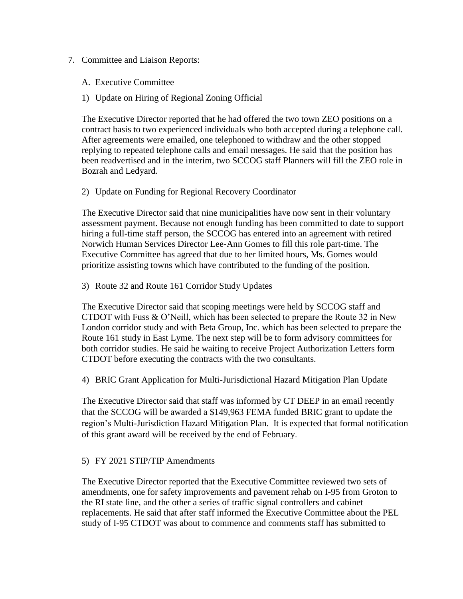#### 7. Committee and Liaison Reports:

- A. Executive Committee
- 1) Update on Hiring of Regional Zoning Official

The Executive Director reported that he had offered the two town ZEO positions on a contract basis to two experienced individuals who both accepted during a telephone call. After agreements were emailed, one telephoned to withdraw and the other stopped replying to repeated telephone calls and email messages. He said that the position has been readvertised and in the interim, two SCCOG staff Planners will fill the ZEO role in Bozrah and Ledyard.

### 2) Update on Funding for Regional Recovery Coordinator

The Executive Director said that nine municipalities have now sent in their voluntary assessment payment. Because not enough funding has been committed to date to support hiring a full-time staff person, the SCCOG has entered into an agreement with retired Norwich Human Services Director Lee-Ann Gomes to fill this role part-time. The Executive Committee has agreed that due to her limited hours, Ms. Gomes would prioritize assisting towns which have contributed to the funding of the position.

3) Route 32 and Route 161 Corridor Study Updates

The Executive Director said that scoping meetings were held by SCCOG staff and CTDOT with Fuss & O'Neill, which has been selected to prepare the Route 32 in New London corridor study and with Beta Group, Inc. which has been selected to prepare the Route 161 study in East Lyme. The next step will be to form advisory committees for both corridor studies. He said he waiting to receive Project Authorization Letters form CTDOT before executing the contracts with the two consultants.

4) BRIC Grant Application for Multi-Jurisdictional Hazard Mitigation Plan Update

The Executive Director said that staff was informed by CT DEEP in an email recently that the SCCOG will be awarded a \$149,963 FEMA funded BRIC grant to update the region's Multi-Jurisdiction Hazard Mitigation Plan. It is expected that formal notification of this grant award will be received by the end of February.

# 5) FY 2021 STIP/TIP Amendments

The Executive Director reported that the Executive Committee reviewed two sets of amendments, one for safety improvements and pavement rehab on I-95 from Groton to the RI state line, and the other a series of traffic signal controllers and cabinet replacements. He said that after staff informed the Executive Committee about the PEL study of I-95 CTDOT was about to commence and comments staff has submitted to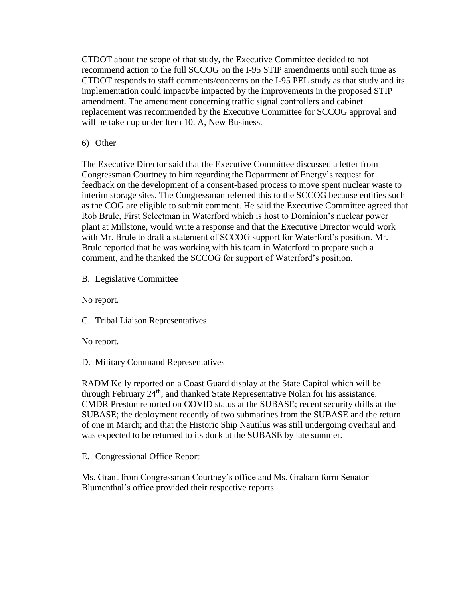CTDOT about the scope of that study, the Executive Committee decided to not recommend action to the full SCCOG on the I-95 STIP amendments until such time as CTDOT responds to staff comments/concerns on the I-95 PEL study as that study and its implementation could impact/be impacted by the improvements in the proposed STIP amendment. The amendment concerning traffic signal controllers and cabinet replacement was recommended by the Executive Committee for SCCOG approval and will be taken up under Item 10. A, New Business.

6) Other

The Executive Director said that the Executive Committee discussed a letter from Congressman Courtney to him regarding the Department of Energy's request for feedback on the development of a consent-based process to move spent nuclear waste to interim storage sites. The Congressman referred this to the SCCOG because entities such as the COG are eligible to submit comment. He said the Executive Committee agreed that Rob Brule, First Selectman in Waterford which is host to Dominion's nuclear power plant at Millstone, would write a response and that the Executive Director would work with Mr. Brule to draft a statement of SCCOG support for Waterford's position. Mr. Brule reported that he was working with his team in Waterford to prepare such a comment, and he thanked the SCCOG for support of Waterford's position.

B. Legislative Committee

No report.

C. Tribal Liaison Representatives

No report.

D. Military Command Representatives

RADM Kelly reported on a Coast Guard display at the State Capitol which will be through February  $24<sup>th</sup>$ , and thanked State Representative Nolan for his assistance. CMDR Preston reported on COVID status at the SUBASE; recent security drills at the SUBASE; the deployment recently of two submarines from the SUBASE and the return of one in March; and that the Historic Ship Nautilus was still undergoing overhaul and was expected to be returned to its dock at the SUBASE by late summer.

E. Congressional Office Report

Ms. Grant from Congressman Courtney's office and Ms. Graham form Senator Blumenthal's office provided their respective reports.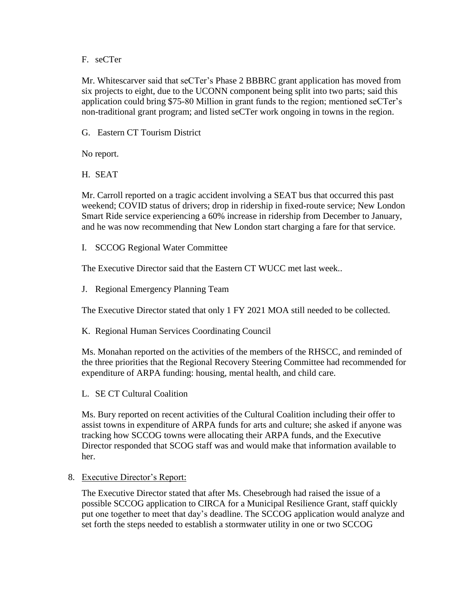#### F. seCTer

Mr. Whitescarver said that seCTer's Phase 2 BBBRC grant application has moved from six projects to eight, due to the UCONN component being split into two parts; said this application could bring \$75-80 Million in grant funds to the region; mentioned seCTer's non-traditional grant program; and listed seCTer work ongoing in towns in the region.

G. Eastern CT Tourism District

No report.

H. SEAT

Mr. Carroll reported on a tragic accident involving a SEAT bus that occurred this past weekend; COVID status of drivers; drop in ridership in fixed-route service; New London Smart Ride service experiencing a 60% increase in ridership from December to January, and he was now recommending that New London start charging a fare for that service.

I. SCCOG Regional Water Committee

The Executive Director said that the Eastern CT WUCC met last week..

J. Regional Emergency Planning Team

The Executive Director stated that only 1 FY 2021 MOA still needed to be collected.

K. Regional Human Services Coordinating Council

Ms. Monahan reported on the activities of the members of the RHSCC, and reminded of the three priorities that the Regional Recovery Steering Committee had recommended for expenditure of ARPA funding: housing, mental health, and child care.

L. SE CT Cultural Coalition

Ms. Bury reported on recent activities of the Cultural Coalition including their offer to assist towns in expenditure of ARPA funds for arts and culture; she asked if anyone was tracking how SCCOG towns were allocating their ARPA funds, and the Executive Director responded that SCOG staff was and would make that information available to her.

8. Executive Director's Report:

The Executive Director stated that after Ms. Chesebrough had raised the issue of a possible SCCOG application to CIRCA for a Municipal Resilience Grant, staff quickly put one together to meet that day's deadline. The SCCOG application would analyze and set forth the steps needed to establish a stormwater utility in one or two SCCOG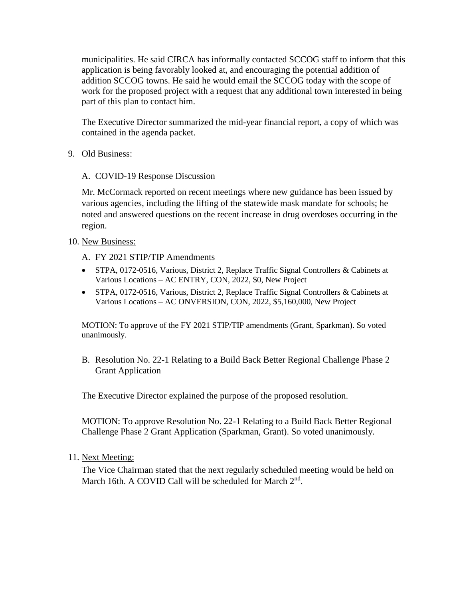municipalities. He said CIRCA has informally contacted SCCOG staff to inform that this application is being favorably looked at, and encouraging the potential addition of addition SCCOG towns. He said he would email the SCCOG today with the scope of work for the proposed project with a request that any additional town interested in being part of this plan to contact him.

The Executive Director summarized the mid-year financial report, a copy of which was contained in the agenda packet.

9. Old Business:

### A. COVID-19 Response Discussion

Mr. McCormack reported on recent meetings where new guidance has been issued by various agencies, including the lifting of the statewide mask mandate for schools; he noted and answered questions on the recent increase in drug overdoses occurring in the region.

- 10. New Business:
	- A. FY 2021 STIP/TIP Amendments
	- STPA, 0172-0516, Various, District 2, Replace Traffic Signal Controllers & Cabinets at Various Locations – AC ENTRY, CON, 2022, \$0, New Project
	- STPA, 0172-0516, Various, District 2, Replace Traffic Signal Controllers & Cabinets at Various Locations – AC ONVERSION, CON, 2022, \$5,160,000, New Project

MOTION: To approve of the FY 2021 STIP/TIP amendments (Grant, Sparkman). So voted unanimously.

B. Resolution No. 22-1 Relating to a Build Back Better Regional Challenge Phase 2 Grant Application

The Executive Director explained the purpose of the proposed resolution.

MOTION: To approve Resolution No. 22-1 Relating to a Build Back Better Regional Challenge Phase 2 Grant Application (Sparkman, Grant). So voted unanimously.

11. Next Meeting:

The Vice Chairman stated that the next regularly scheduled meeting would be held on March 16th. A COVID Call will be scheduled for March 2<sup>nd</sup>.